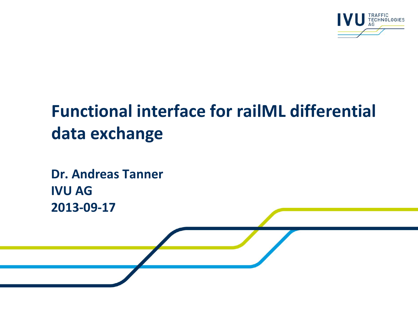

# **Functional interface for railML differential data exchange**

**Dr. Andreas Tanner IVU AG 2013-09-17**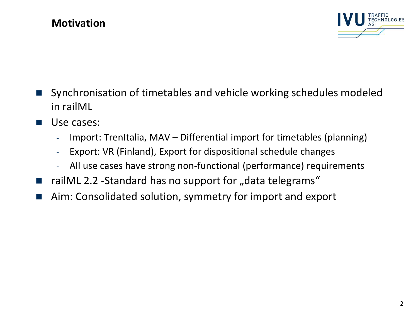#### **Motivation**



- Synchronisation of timetables and vehicle working schedules modeled in railML
- **Use cases:** 
	- Import: TrenItalia, MAV Differential import for timetables (planning)
	- Export: VR (Finland), Export for dispositional schedule changes
	- All use cases have strong non-functional (performance) requirements
- railML 2.2 -Standard has no support for "data telegrams"
- Aim: Consolidated solution, symmetry for import and export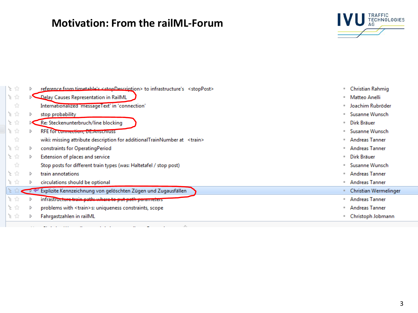## **Motivation: From the railML-Forum**



| 上会  |     |              | reference from timetable's <stopdescription> to infrastructure's <stoppost></stoppost></stopdescription> | ۰         | Christian Rahmig      |
|-----|-----|--------------|----------------------------------------------------------------------------------------------------------|-----------|-----------------------|
| 上会  |     |              | Delay Causes Representation in RailML                                                                    | ٠         | Matteo Anelli         |
|     | -12 |              | Internationalized 'messageText' in 'connection'                                                          | ٠         | Joachim Rubröder      |
| 上会  |     | D            | stop probability                                                                                         |           | Susanne Wunsch        |
| 上会  |     |              | Re: Steckenunterbruch/line blocking                                                                      | ٠         | Dirk Bräuer           |
| 上☆  |     | d            | RFE for connection, Detainschluss                                                                        |           | Susanne Wunsch        |
| -12 |     |              | wiki: missing attribute description for additionalTrainNumber at <train></train>                         | ٠         | Andreas Tanner        |
| 上☆  |     | D            | constraints for OperatingPeriod                                                                          | <b>GK</b> | <b>Andreas Tanner</b> |
| 上☆  |     | D            | Extension of places and service                                                                          | ۰         | Dirk Bräuer           |
|     | 12  |              | Stop posts for different train types (was: Haltetafel / stop post)                                       |           | Susanne Wunsch        |
| 上合  |     | D            | train annotations                                                                                        |           | <b>Andreas Tanner</b> |
| 上☆  |     | D            | circulations should be optional                                                                          | ٠         | Andreas Tanner        |
|     |     | $\leftarrow$ | Explizite Kennzeichnung von gelöschten Zügen und Zugausfällen                                            |           | Christian Wermelinge  |
| 上☆  |     | d            | infrastructure train path: where to put path parameters                                                  | ٠         | <b>Andreas Tanner</b> |
| 上☆  |     | D            | problems with <train>s: uniqueness constraints, scope</train>                                            |           | <b>Andreas Tanner</b> |
| 上☆  |     | D            | Fahrgastzahlen in railML                                                                                 |           | Christoph Jobmann     |
|     |     |              |                                                                                                          |           |                       |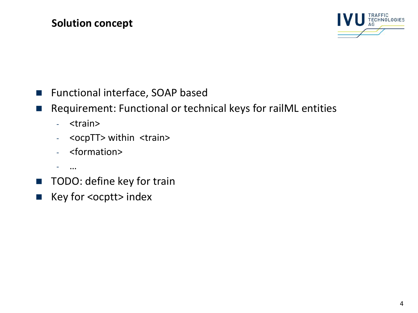

- Functional interface, SOAP based
- Requirement: Functional or technical keys for railML entities
	- <train>
	- <ocpTT> within <train>
	- <formation>
	- $...$
- **TODO: define key for train**
- Key for <ocptt> index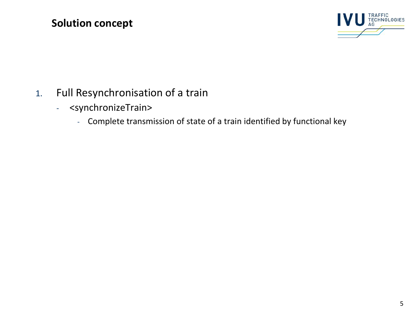

- 1. Full Resynchronisation of a train
	- <synchronizeTrain>
		- Complete transmission of state of a train identified by functional key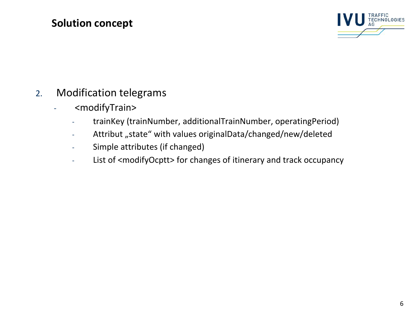

- 2. Modification telegrams
	- <modifyTrain>
		- trainKey (trainNumber, additionalTrainNumber, operatingPeriod)
		- Attribut "state" with values originalData/changed/new/deleted
		- Simple attributes (if changed)
		- List of <modifyOcptt> for changes of itinerary and track occupancy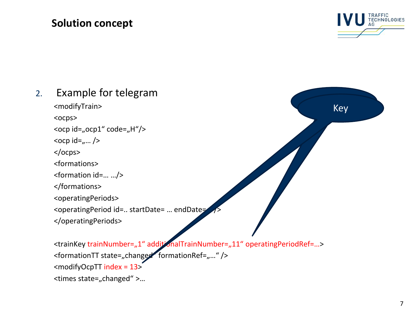

Key

## 2. Example for telegram

<modifyTrain>

<ocps>

<ocp id="ocp1" code="H"/>

 $<$ ocp id= $_{n}...$  />

</ocps>

<formations>

<formation id=… …/>

</formations>

<operatingPeriods>

<operatingPeriod id=.. startDate= ... endDate=

</operatingPeriods>

<trainKey trainNumber="1" additionalTrainNumber="11" operatingPeriodRef=...> <formationTT state="changed formationRef="..." /> <modifyOcpTT index = 13> <times state="changed" >...

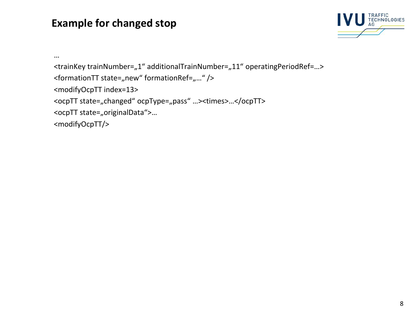#### **Example for changed stop**



```
…
<trainKey trainNumber="1" additionalTrainNumber="11" operatingPeriodRef=...>
<formationTT state="new" formationRef="..." />
<modifyOcpTT index=13>
<ocpTT state="changed" ocpType="pass" ...><times>...</ocpTT>
<ocpTT state="originalData">...
<modifyOcpTT/>
```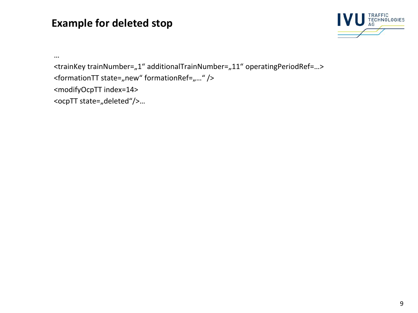#### **Example for deleted stop**



```
…
<trainKey trainNumber="1" additionalTrainNumber="11" operatingPeriodRef=...>
<formationTT state="new" formationRef="..." />
<modifyOcpTT index=14>
<ocpTT state="deleted"/>...
```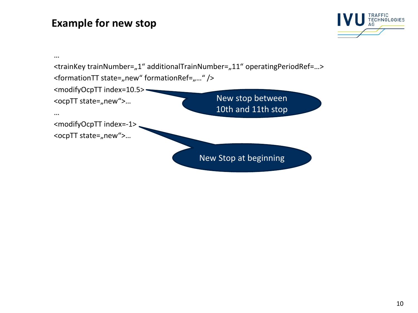#### **Example for new stop**



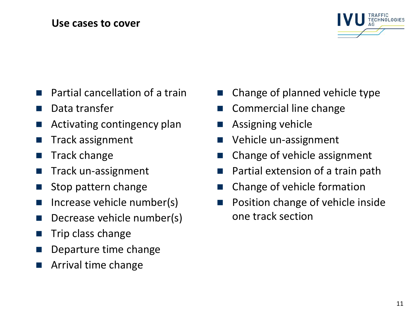#### **Use cases to cover**



- Partial cancellation of a train
- Data transfer
- Activating contingency plan
- Track assignment
- **Track change**
- Track un-assignment
- Stop pattern change
- Increase vehicle number(s)
- Decrease vehicle number(s)
- Trip class change
- Departure time change
- Arrival time change
- Change of planned vehicle type
- Commercial line change
- Assigning vehicle
- Vehicle un-assignment
- Change of vehicle assignment
- Partial extension of a train path
- Change of vehicle formation
- Position change of vehicle inside one track section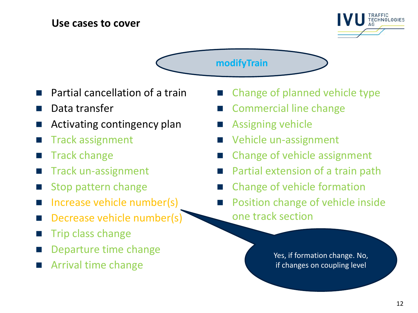#### **Use cases to cover**



**modifyTrain**

- Partial cancellation of a train
- Data transfer
- Activating contingency plan
- Track assignment
- Track change
- Track un-assignment
- Stop pattern change
- Increase vehicle number(s)
- Decrease vehicle number(s)
- Trip class change
- Departure time change
- Arrival time change
- Change of planned vehicle type
- Commercial line change
- Assigning vehicle
- Vehicle un-assignment
- Change of vehicle assignment
- Partial extension of a train path
- Change of vehicle formation
- Position change of vehicle inside one track section

Yes, if formation change. No, if changes on coupling level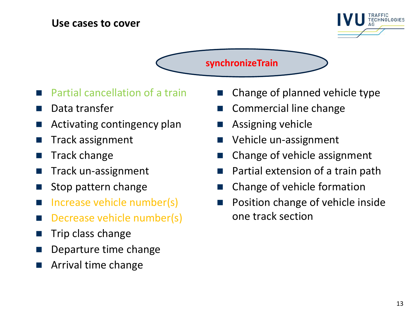#### **Use cases to cover**



**synchronizeTrain**

- Partial cancellation of a train
- Data transfer
- Activating contingency plan
- Track assignment
- Track change
- Track un-assignment
- Stop pattern change
- Increase vehicle number(s)
- Decrease vehicle number(s)
- Trip class change
- Departure time change
- Arrival time change
- Change of planned vehicle type
- Commercial line change
- Assigning vehicle
- Vehicle un-assignment
- Change of vehicle assignment
- Partial extension of a train path
- Change of vehicle formation
- Position change of vehicle inside one track section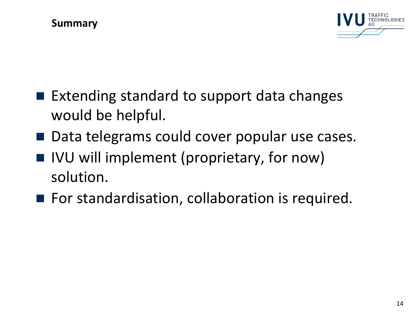

- $\blacksquare$  Extending standard to support data changes would be helpful.
- Data telegrams could cover popular use cases.
- IVU will implement (proprietary, for now) solution.
- For standardisation, collaboration is required.